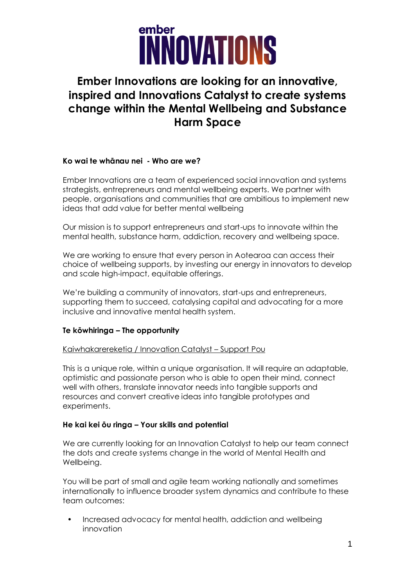

### **Ember Innovations are looking for an innovative, inspired and Innovations Catalyst to create systems change within the Mental Wellbeing and Substance Harm Space**

### **Ko wai te whānau nei - Who are we?**

Ember Innovations are a team of experienced social innovation and systems strategists, entrepreneurs and mental wellbeing experts. We partner with people, organisations and communities that are ambitious to implement new ideas that add value for better mental wellbeing

Our mission is to support entrepreneurs and start-ups to innovate within the mental health, substance harm, addiction, recovery and wellbeing space.

We are working to ensure that every person in Aotearoa can access their choice of wellbeing supports, by investing our energy in innovators to develop and scale high-impact, equitable offerings.

We're building a community of innovators, start-ups and entrepreneurs, supporting them to succeed, catalysing capital and advocating for a more inclusive and innovative mental health system.

### **Te kōwhiringa – The opportunity**

#### Kaiwhakarereketia / Innovation Catalyst – Support Pou

This is a unique role, within a unique organisation. It will require an adaptable, optimistic and passionate person who is able to open their mind, connect well with others, translate innovator needs into tangible supports and resources and convert creative ideas into tangible prototypes and experiments.

### **He kai kei ōu ringa – Your skills and potential**

We are currently looking for an Innovation Catalyst to help our team connect the dots and create systems change in the world of Mental Health and Wellbeing.

You will be part of small and agile team working nationally and sometimes internationally to influence broader system dynamics and contribute to these team outcomes:

• Increased advocacy for mental health, addiction and wellbeing innovation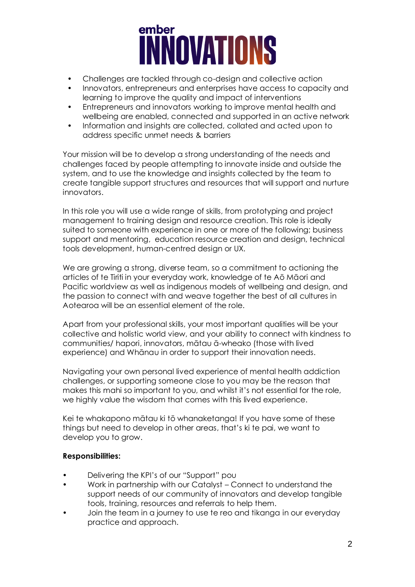# **EMBer**<br> **INNOVATIONS**

- Challenges are tackled through co-design and collective action
- Innovators, entrepreneurs and enterprises have access to capacity and learning to improve the quality and impact of interventions
- Entrepreneurs and innovators working to improve mental health and wellbeing are enabled, connected and supported in an active network
- Information and insights are collected, collated and acted upon to address specific unmet needs & barriers

Your mission will be to develop a strong understanding of the needs and challenges faced by people attempting to innovate inside and outside the system, and to use the knowledge and insights collected by the team to create tangible support structures and resources that will support and nurture innovators.

In this role you will use a wide range of skills, from prototyping and project management to training design and resource creation. This role is ideally suited to someone with experience in one or more of the following; business support and mentoring, education resource creation and design, technical tools development, human-centred design or UX.

We are growing a strong, diverse team, so a commitment to actioning the articles of te Tiriti in your everyday work, knowledge of te Aō Māori and Pacific worldview as well as indigenous models of wellbeing and design, and the passion to connect with and weave together the best of all cultures in Aotearoa will be an essential element of the role.

Apart from your professional skills, your most important qualities will be your collective and holistic world view, and your ability to connect with kindness to communities/ hapori, innovators, mātau ā-wheako (those with lived experience) and Whānau in order to support their innovation needs.

Navigating your own personal lived experience of mental health addiction challenges, or supporting someone close to you may be the reason that makes this mahi so important to you, and whilst it's not essential for the role, we highly value the wisdom that comes with this lived experience.

Kei te whakapono mātau ki tō whanaketanga! If you have some of these things but need to develop in other areas, that's ki te pai, we want to develop you to grow.

### **Responsibilities:**

- Delivering the KPI's of our "Support" pou
- Work in partnership with our Catalyst Connect to understand the support needs of our community of innovators and develop tangible tools, training, resources and referrals to help them.
- Join the team in a journey to use te reo and tikanga in our everyday practice and approach.